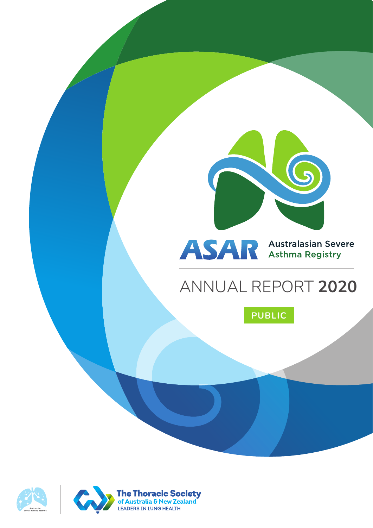

# ASAR Australasian Severe

# ANNUAL REPORT **2020**







The Thoracic Society<br>of Australia & New Zealand<br>LEADERS IN LUNG HEALTH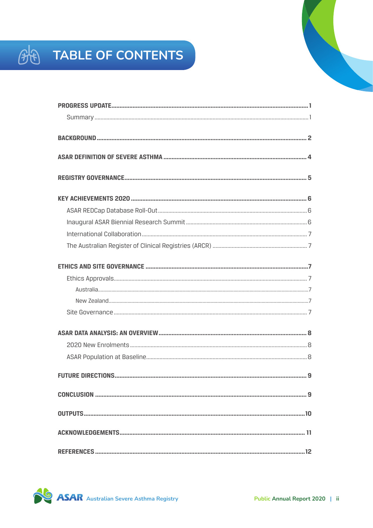# **BE TABLE OF CONTENTS**

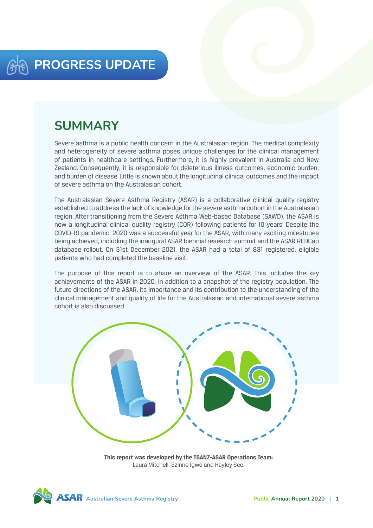## **SUMMARY**

Severe asthma is a public health concern in the Australasian region. The medical complexity and heterogeneity of severe asthma poses unique challenges for the clinical management of patients in healthcare settings. Furthermore, it is highly prevalent in Australia and New Zealand. Consequently, it is responsible for deleterious illness outcomes, economic burden, and burden of disease. Little is known about the longitudinal clinical outcomes and the impact of severe asthma on the Australasian cohort.

The Australasian Severe Asthma Registry (ASAR) is a collaborative clinical quality registry established to address the lack of knowledge for the severe asthma cohort in the Australasian region. After transitioning from the Severe Asthma Web-based Database (SAWD), the ASAR is now a longitudinal clinical quality registry (CQR) following patients for 10 years. Despite the COVID-19 pandemic, 2020 was a successful year for the ASAR, with many exciting milestones being achieved, including the inaugural ASAR biennial research summit and the ASAR REDCap database rollout. On 31st December 2021, the ASAR had a total of 831 registered, eligible patients who had completed the baseline visit.

The purpose of this report is to share an overview of the ASAR. This includes the key achievements of the ASAR in 2020, in addition to a snapshot of the registry population. The future directions of the ASAR, its importance and its contribution to the understanding of the clinical management and quality of life for the Australasian and international severe asthma cohort is also discussed.



**This report was developed by the TSANZ-ASAR Operations Team:**  Laura Mitchell, Ezinne Igwe and Hayley See.

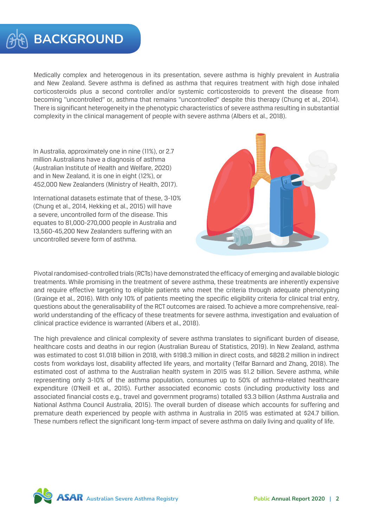## **BACKGROUND**

Medically complex and heterogenous in its presentation, severe asthma is highly prevalent in Australia and New Zealand. Severe asthma is defined as asthma that requires treatment with high dose inhaled corticosteroids plus a second controller and/or systemic corticosteroids to prevent the disease from becoming ''uncontrolled'' or, asthma that remains ''uncontrolled'' despite this therapy (Chung et al., 2014). There is significant heterogeneity in the phenotypic characteristics of severe asthma resulting in substantial complexity in the clinical management of people with severe asthma (Albers et al., 2018).

In Australia, approximately one in nine (11%), or 2.7 million Australians have a diagnosis of asthma (Australian Institute of Health and Welfare, 2020) and in New Zealand, it is one in eight (12%), or 452,000 New Zealanders (Ministry of Health, 2017).

International datasets estimate that of these, 3-10% (Chung et al., 2014, Hekking et al., 2015) will have a severe, uncontrolled form of the disease. This equates to 81,000-270,000 people in Australia and 13,560-45,200 New Zealanders suffering with an uncontrolled severe form of asthma.



Pivotal randomised-controlled trials (RCTs) have demonstrated the efficacy of emerging and available biologic treatments. While promising in the treatment of severe asthma, these treatments are inherently expensive and require effective targeting to eligible patients who meet the criteria through adequate phenotyping (Grainge et al., 2016). With only 10% of patients meeting the specific eligibility criteria for clinical trial entry, questions about the generalisability of the RCT outcomes are raised. To achieve a more comprehensive, realworld understanding of the efficacy of these treatments for severe asthma, investigation and evaluation of clinical practice evidence is warranted (Albers et al., 2018).

The high prevalence and clinical complexity of severe asthma translates to significant burden of disease, healthcare costs and deaths in our region (Australian Bureau of Statistics, 2019). In New Zealand, asthma was estimated to cost \$1.018 billion in 2018, with \$198.3 million in direct costs, and \$828.2 million in indirect costs from workdays lost, disability affected life years, and mortality (Telfar Barnard and Zhang, 2018). The estimated cost of asthma to the Australian health system in 2015 was \$1.2 billion. Severe asthma, while representing only 3-10% of the asthma population, consumes up to 50% of asthma-related healthcare expenditure (O'Neill et al., 2015). Further associated economic costs (including productivity loss and associated financial costs e.g., travel and government programs) totalled \$3.3 billion (Asthma Australia and National Asthma Council Australia, 2015). The overall burden of disease which accounts for suffering and premature death experienced by people with asthma in Australia in 2015 was estimated at \$24.7 billion. These numbers reflect the significant long-term impact of severe asthma on daily living and quality of life.

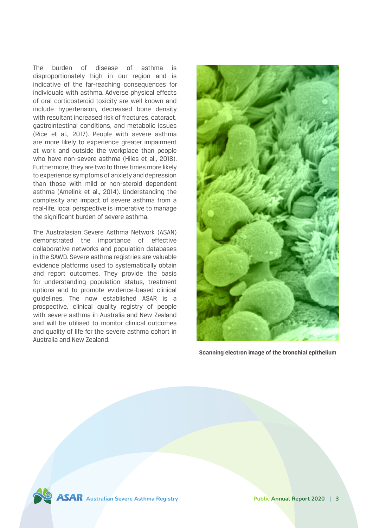The burden of disease of asthma is disproportionately high in our region and is indicative of the far-reaching consequences for individuals with asthma. Adverse physical effects of oral corticosteroid toxicity are well known and include hypertension, decreased bone density with resultant increased risk of fractures, cataract, gastrointestinal conditions, and metabolic issues (Rice et al., 2017). People with severe asthma are more likely to experience greater impairment at work and outside the workplace than people who have non-severe asthma (Hiles et al., 2018). Furthermore, they are two to three times more likely to experience symptoms of anxiety and depression than those with mild or non-steroid dependent asthma (Amelink et al., 2014). Understanding the complexity and impact of severe asthma from a real-life, local perspective is imperative to manage the significant burden of severe asthma.

The Australasian Severe Asthma Network (ASAN) demonstrated the importance of effective collaborative networks and population databases in the SAWD. Severe asthma registries are valuable evidence platforms used to systematically obtain and report outcomes. They provide the basis for understanding population status, treatment options and to promote evidence-based clinical guidelines. The now established ASAR is a prospective, clinical quality registry of people with severe asthma in Australia and New Zealand and will be utilised to monitor clinical outcomes and quality of life for the severe asthma cohort in Australia and New Zealand.



**Scanning electron image of the bronchial epithelium**

**ASAR** Australian Severe Asthma Registry **Public Annual Report 2020** | 3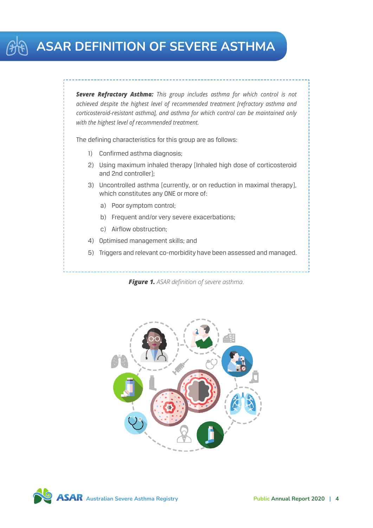## **ASAR definition of severe asthma**

*Severe Refractory Asthma: This group includes asthma for which control is not achieved despite the highest level of recommended treatment [refractory asthma and corticosteroid-resistant asthma], and asthma for which control can be maintained only with the highest level of recommended treatment.*

The defining characteristics for this group are as follows:

- 1) Confirmed asthma diagnosis;
- 2) Using maximum inhaled therapy [Inhaled high dose of corticosteroid and 2nd controller];
- 3) Uncontrolled asthma [currently, or on reduction in maximal therapy], which constitutes any ONE or more of:
	- a) Poor symptom control;
	- b) Frequent and/or very severe exacerbations;
	- c) Airflow obstruction;
- 4) Optimised management skills; and
- 5) Triggers and relevant co-morbidity have been assessed and managed.





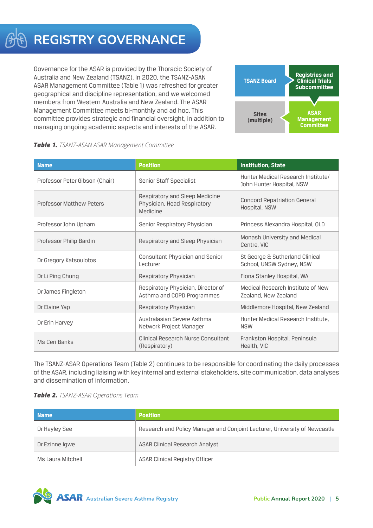## **REGISTRY GOVERNANCE**

Governance for the ASAR is provided by the Thoracic Society of Australia and New Zealand (TSANZ). In 2020, the TSANZ-ASAN ASAR Management Committee (Table 1) was refreshed for greater geographical and discipline representation, and we welcomed members from Western Australia and New Zealand. The ASAR Management Committee meets bi-monthly and ad hoc. This committee provides strategic and financial oversight, in addition to managing ongoing academic aspects and interests of the ASAR.



| Table 1. TSANZ-ASAN ASAR Management Committee |  |
|-----------------------------------------------|--|
|-----------------------------------------------|--|

| <b>Name</b>                     | <b>Position</b>                                                           | <b>Institution, State</b>                                       |  |
|---------------------------------|---------------------------------------------------------------------------|-----------------------------------------------------------------|--|
| Professor Peter Gibson (Chair)  | Senior Staff Specialist                                                   | Hunter Medical Research Institute/<br>John Hunter Hospital, NSW |  |
| <b>Professor Matthew Peters</b> | Respiratory and Sleep Medicine<br>Physician, Head Respiratory<br>Medicine | <b>Concord Repatriation General</b><br>Hospital, NSW            |  |
| Professor John Upham            | Senior Respiratory Physician                                              | Princess Alexandra Hospital, QLD                                |  |
| Professor Philip Bardin         | Respiratory and Sleep Physician                                           | Monash University and Medical<br>Centre, VIC                    |  |
| Dr Gregory Katsoulotos          | Consultant Physician and Senior<br>Lecturer                               | St George & Sutherland Clinical<br>School, UNSW Sydney, NSW     |  |
| Dr Li Ping Chung                | Respiratory Physician                                                     | Fiona Stanley Hospital, WA                                      |  |
| Dr James Fingleton              | Respiratory Physician, Director of<br>Asthma and COPD Programmes          | Medical Research Institute of New<br>Zealand, New Zealand       |  |
| Dr Elaine Yap                   | Respiratory Physician                                                     | Middlemore Hospital, New Zealand                                |  |
| Dr Erin Harvey                  | Australasian Severe Asthma<br>Network Project Manager                     | Hunter Medical Research Institute,<br><b>NSW</b>                |  |
| Ms Ceri Banks                   | Clinical Research Nurse Consultant<br>(Respiratory)                       | Frankston Hospital, Peninsula<br>Health, VIC                    |  |

The TSANZ-ASAR Operations Team (Table 2) continues to be responsible for coordinating the daily processes of the ASAR, including liaising with key internal and external stakeholders, site communication, data analyses and dissemination of information.

#### *Table 2. TSANZ-ASAR Operations Team*

| <b>Name</b>       | <b>Position</b>                                                            |
|-------------------|----------------------------------------------------------------------------|
| Dr Hayley See     | Research and Policy Manager and Conjoint Lecturer, University of Newcastle |
| Dr Ezinne Igwe    | <b>ASAR Clinical Research Analyst</b>                                      |
| Ms Laura Mitchell | ASAR Clinical Registry Officer                                             |

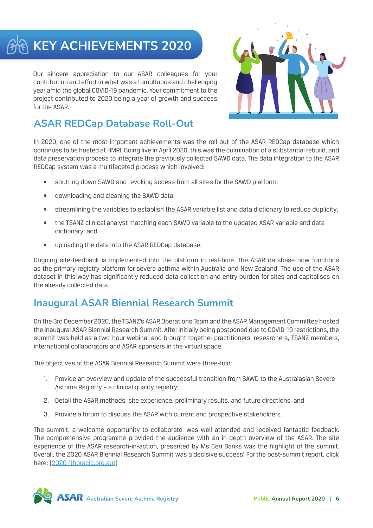# **KEY ACHIEVEMENTS 2020**

Our sincere appreciation to our ASAR colleagues for your contribution and effort in what was a tumultuous and challenging year amid the global COVID-19 pandemic. Your commitment to the project contributed to 2020 being a year of growth and success for the ASAR.



## **ASAR REDCap Database Roll-Out**

In 2020, one of the most important achievements was the roll-out of the ASAR REDCap database which continues to be hosted at HMRI. Going live in April 2020, this was the culmination of a substantial rebuild, and data preservation process to integrate the previously collected SAWD data. The data integration to the ASAR REDCap system was a multifaceted process which involved:

- shutting down SAWD and revoking access from all sites for the SAWD platform:
- downloading and cleaning the SAWD data;
- streamlining the variables to establish the ASAR variable list and data dictionary to reduce duplicity;
- the TSANZ clinical analyst matching each SAWD variable to the updated ASAR variable and data dictionary; and
- • uploading the data into the ASAR REDCap database.

Ongoing site-feedback is implemented into the platform in real-time. The ASAR database now functions as the primary registry platform for severe asthma within Australia and New Zealand. The use of the ASAR dataset in this way has significantly reduced data collection and entry burden for sites and capitalises on the already collected data.

### **Inaugural ASAR Biennial Research Summit**

On the 3rd December 2020, the TSANZ's ASAR Operations Team and the ASAR Management Committee hosted the inaugural ASAR Biennial Research Summit. After initially being postponed due to COVID-19 restrictions, the summit was held as a two-hour webinar and brought together practitioners, researchers, TSANZ members, international collaborators and ASAR sponsors in the virtual space.

The objectives of the ASAR Biennial Research Summit were three-fold:

- 1. Provide an overview and update of the successful transition from SAWD to the Australasian Severe Asthma Registry – a clinical quality registry;
- 2. Detail the ASAR methods, site experience, preliminary results, and future directions; and
- 3. Provide a forum to discuss the ASAR with current and prospective stakeholders.

The summit, a welcome opportunity to collaborate, was well attended and received fantastic feedback. The comprehensive programme provided the audience with an in-depth overview of the ASAR. The site experience of the ASAR research-in-action, presented by Ms Ceri Banks was the highlight of the summit. Overall, the 2020 ASAR Biennial Research Summit was a decisive success! For the post-summit report, click here: [[2020 \(thoracic.org.au\)](https://www.thoracic.org.au/documents/item/2020)]

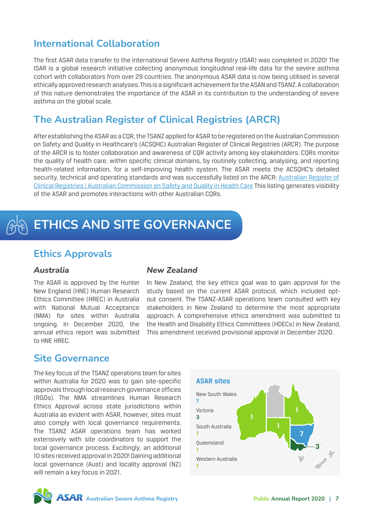### **International Collaboration**

The first ASAR data transfer to the International Severe Asthma Registry (ISAR) was completed in 2020! The ISAR is a global research initiative collecting anonymous longitudinal real-life data for the severe asthma cohort with collaborators from over 29 countries. The anonymous ASAR data is now being utilised in several ethically approved research analyses. This is a significant achievement for the ASAN and TSANZ. A collaboration of this nature demonstrates the importance of the ASAR in its contribution to the understanding of severe asthma on the global scale.

### **The Australian Register of Clinical Registries (ARCR)**

After establishing the ASAR as a CQR, the TSANZ applied for ASAR to be registered on the Australian Commission on Safety and Quality in Healthcare's (ACSQHC) Australian Register of Clinical Registries (ARCR). The purpose of the ARCR is to foster collaboration and awareness of CQR activity among key stakeholders. CQRs monitor the quality of health care, within specific clinical domains, by routinely collecting, analysing, and reporting health-related information, for a self-improving health system. The ASAR meets the ACSQHC's detailed security, technical and operating standards and was successfully listed on the ARCR: [Australian Register of](https://www.safetyandquality.gov.au/australian-register-clinical-registries) [Clinical Registries | Australian Commission on Safety and Quality in Health Care](https://www.safetyandquality.gov.au/australian-register-clinical-registries) This listing generates visibility of the ASAR and promotes interactions with other Australian CQRs.

# **ETHICS AND SITE GOVERNANCE**

#### **Ethics Approvals**

#### *Australia*

The ASAR is approved by the Hunter New England (HNE) Human Research Ethics Committee (HREC) in Australia with National Mutual Acceptance (NMA) for sites within Australia ongoing. In December 2020, the annual ethics report was submitted to HNE HREC.

#### *New Zealand*

In New Zealand, the key ethics goal was to gain approval for the study based on the current ASAR protocol, which included optout consent. The TSANZ-ASAR operations team consulted with key stakeholders in New Zealand to determine the most appropriate approach. A comprehensive ethics amendment was submitted to the Health and Disability Ethics Committees (HDECs) in New Zealand. This amendment received provisional approval in December 2020.

#### **Site Governance**

The key focus of the TSANZ operations team for sites within Australia for 2020 was to gain site-specific approvals through local research governance offices (RGOs). The NMA streamlines Human Research Ethics Approval across state jurisdictions within Australia as evident with ASAR, however, sites must also comply with local governance requirements. The TSANZ ASAR operations team has worked extensively with site coordinators to support the local governance process. Excitingly, an additional 10 sites received approval in 2020! Gaining additional local governance (Aust) and locality approval (NZ) will remain a key focus in 2021.



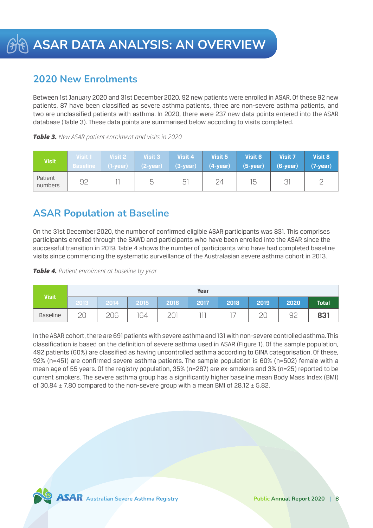### **2020 New Enrolments**

Between 1st January 2020 and 31st December 2020, 92 new patients were enrolled in ASAR. Of these 92 new patients, 87 have been classified as severe asthma patients, three are non-severe asthma patients, and two are unclassified patients with asthma. In 2020, there were 237 new data points entered into the ASAR database (Table 3). These data points are summarised below according to visits completed.

| Table 3. New ASAR patient enrolment and visits in 2020 |  |  |  |  |  |  |
|--------------------------------------------------------|--|--|--|--|--|--|
|--------------------------------------------------------|--|--|--|--|--|--|

| <b>Visit</b>       | Visit 1         | Visit 2     | <b>Visit 3</b> | Visit 4    | Visit 5    | <b>Visit 6</b> | <b>Visit 7</b> | <b>Visit 8</b> |
|--------------------|-----------------|-------------|----------------|------------|------------|----------------|----------------|----------------|
|                    | <b>Baseline</b> | $(1$ -year) | $(2-year)$     | $(3-year)$ | $(4-year)$ | $(5-year)$     | $(6-year)$     | $(7-year)$     |
| Patient<br>numbers | 92              |             | ∽              | h          | 24         | 15             |                |                |

### **ASAR Population at Baseline**

On the 31st December 2020, the number of confirmed eligible ASAR participants was 831. This comprises participants enrolled through the SAWD and participants who have been enrolled into the ASAR since the successful transition in 2019. Table 4 shows the number of participants who have had completed baseline visits since commencing the systematic surveillance of the Australasian severe asthma cohort in 2013.





In the ASAR cohort, there are 691 patients with severe asthma and 131 with non-severe controlled asthma. This classification is based on the definition of severe asthma used in ASAR (Figure 1). Of the sample population, 492 patients (60%) are classified as having uncontrolled asthma according to GINA categorisation. Of these, 92% (n=451) are confirmed severe asthma patients. The sample population is 60% (n=502) female with a mean age of 55 years. Of the registry population, 35% (n=287) are ex-smokers and 3% (n=25) reported to be current smokers. The severe asthma group has a significantly higher baseline mean Body Mass Index (BMI) of  $30.84 \pm 7.80$  compared to the non-severe group with a mean BMI of  $28.12 \pm 5.82$ .

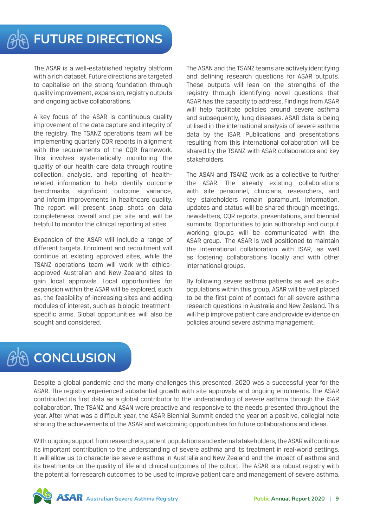The ASAR is a well-established registry platform with a rich dataset. Future directions are targeted to capitalise on the strong foundation through quality improvement, expansion, registry outputs and ongoing active collaborations.

A key focus of the ASAR is continuous quality improvement of the data capture and integrity of the registry. The TSANZ operations team will be implementing quarterly CQR reports in alignment with the requirements of the CQR framework. This involves systematically monitoring the quality of our health care data through routine collection, analysis, and reporting of healthrelated information to help identify outcome benchmarks, significant outcome variance, and inform improvements in healthcare quality. The report will present snap shots on data completeness overall and per site and will be helpful to monitor the clinical reporting at sites.

Expansion of the ASAR will include a range of different targets. Enrolment and recruitment will continue at existing approved sites, while the TSANZ operations team will work with ethicsapproved Australian and New Zealand sites to gain local approvals. Local opportunities for expansion within the ASAR will be explored, such as, the feasibility of increasing sites and adding modules of interest, such as biologic treatmentspecific arms. Global opportunities will also be sought and considered.

The ASAN and the TSANZ teams are actively identifying and defining research questions for ASAR outputs. These outputs will lean on the strengths of the registry through identifying novel questions that ASAR has the capacity to address. Findings from ASAR will help facilitate policies around severe asthma and subsequently, lung diseases. ASAR data is being utilised in the international analysis of severe asthma data by the ISAR. Publications and presentations resulting from this international collaboration will be shared by the TSANZ with ASAR collaborators and key stakeholders.

The ASAN and TSANZ work as a collective to further the ASAR. The already existing collaborations with site personnel, clinicians, researchers, and key stakeholders remain paramount. Information, updates and status will be shared through meetings, newsletters, CQR reports, presentations, and biennial summits. Opportunities to join authorship and output working groups will be communicated with the ASAR group. The ASAR is well positioned to maintain the international collaboration with ISAR, as well as fostering collaborations locally and with other international groups.

By following severe asthma patients as well as subpopulations within this group, ASAR will be well placed to be the first point of contact for all severe asthma research questions in Australia and New Zealand. This will help improve patient care and provide evidence on policies around severe asthma management.

# **CONCLUSION**

Despite a global pandemic and the many challenges this presented, 2020 was a successful year for the ASAR. The registry experienced substantial growth with site approvals and ongoing enrolments. The ASAR contributed its first data as a global contributor to the understanding of severe asthma through the ISAR collaboration. The TSANZ and ASAN were proactive and responsive to the needs presented throughout the year. After what was a difficult year, the ASAR Biennial Summit ended the year on a positive, collegial note sharing the achievements of the ASAR and welcoming opportunities for future collaborations and ideas.

With ongoing support from researchers, patient populations and external stakeholders, the ASAR will continue its important contribution to the understanding of severe asthma and its treatment in real-world settings. It will allow us to characterise severe asthma in Australia and New Zealand and the impact of asthma and its treatments on the quality of life and clinical outcomes of the cohort. The ASAR is a robust registry with the potential for research outcomes to be used to improve patient care and management of severe asthma.

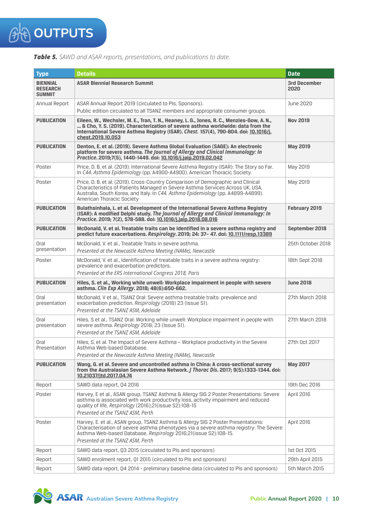

| Table 5. SAWD and ASAR reports, presentations, and publications to date. |  |  |
|--------------------------------------------------------------------------|--|--|
|--------------------------------------------------------------------------|--|--|

| <b>Type</b>                                         | <b>Details</b>                                                                                                                                                                                                                                                                             | <b>Date</b>                 |
|-----------------------------------------------------|--------------------------------------------------------------------------------------------------------------------------------------------------------------------------------------------------------------------------------------------------------------------------------------------|-----------------------------|
| <b>BIENNIAL</b><br><b>RESEARCH</b><br><b>SUMMIT</b> | <b>ASAR Biennial Research Summit</b>                                                                                                                                                                                                                                                       | <b>3rd December</b><br>2020 |
| Annual Report                                       | ASAR Annual Report 2019 (circulated to Pls, Sponsors).<br>Public edition circulated to all TSANZ members and appropriate consumer groups.                                                                                                                                                  | June 2020                   |
| <b>PUBLICATION</b>                                  | Eileen, W., Wechsler, M. E., Tran, T. N., Heaney, L. G., Jones, R. C., Menzies-Gow, A. N.,<br>& Cho, Y. S. (2019). Characterization of severe asthma worldwide: data from the<br>International Severe Asthma Registry (ISAR). Chest. 157(4), 790-804. doi: 10.1016/j.<br>chest.2019.10.053 | <b>Nov 2019</b>             |
| <b>PUBLICATION</b>                                  | Denton, E. et al. (2019). Severe Asthma Global Evaluation (SAGE): An electronic<br>platform for severe asthma. The Journal of Allergy and Clinical Immunology: In<br>Practice, 2019:7(5), 1440-1449, doi: 10.1016/i.jaip.2019.02.042                                                       | <b>May 2019</b>             |
| Poster                                              | Price, D. B. et al. (2019). International Severe Asthma Registry (ISAR): The Story so Far.<br>In C44. Asthma Epidemiology (pp. A4900-A4900). American Thoracic Society.                                                                                                                    | May 2019                    |
| Poster                                              | Price, D. B. et al. (2019). Cross-Country Comparison of Demographic and Clinical<br>Characteristics of Patients Managed in Severe Asthma Services Across UK, USA,<br>Australia, South Korea, and Italy. In C44. Asthma Epidemiology (pp. A4899-A4899).<br>American Thoracic Society        | May 2019                    |
| <b>PUBLICATION</b>                                  | Bulathsinhala, L. et al. Development of the International Severe Asthma Registry<br>(ISAR): A modified Delphi study. The Journal of Allergy and Clinical Immunology: In<br>Practice. 2019; 7(2), 578-588. doi: 10.1016/j.jaip.2018.08.016                                                  | February 2019               |
| <b>PUBLICATION</b>                                  | McDonald, V. et al. Treatable traits can be identified in a severe asthma registry and<br>predict future exacerbations. Respirology. 2019; 24: 37- 47. doi: 10.1111/resp.13389                                                                                                             | September 2018              |
| Oral<br>presentation                                | McDonald. V. et al., Treatable Traits in severe asthma.<br>Presented at the Newcastle Asthma Meeting (NAMe), Newcastle                                                                                                                                                                     | 25th October 2018           |
| Poster                                              | McDonald, V. et al., Identification of treatable traits in a severe asthma registry:<br>prevalence and exacerbation predictors.<br>Presented at the ERS International Congress 2018, Paris                                                                                                 | 18th Sept 2018              |
| <b>PUBLICATION</b>                                  | Hiles, S. et al., Working while unwell: Workplace impairment in people with severe<br>asthma. Clin Exp Allergy. 2018; 48(6):650-662.                                                                                                                                                       | <b>June 2018</b>            |
| Oral<br>presentation                                | McDonald, V et al., TSANZ Oral: Severe asthma treatable traits: prevalence and<br>exacerbation prediction. Respirology (2018) 23 (Issue S1).<br>Presented at the TSANZ ASM, Adelaide                                                                                                       | 27th March 2018             |
| Oral<br>presentation                                | Hiles, S et al., TSANZ Oral: Working while unwell: Workplace impairment in people with<br>severe asthma. Respirology 2018; 23 (Issue S1).<br>Presented at the TSANZ ASM, Adelaide                                                                                                          | 27th March 2018             |
| Oral<br>Presentation                                | Hiles, S. et al. The Impact of Severe Asthma - Workplace productivity in the Severe<br>Asthma Web-based Database.                                                                                                                                                                          | 27th Oct 2017               |
| <b>PUBLICATION</b>                                  | Presented at the Newcastle Asthma Meeting (NAMe), Newcastle<br>Wang, G. et al. Severe and uncontrolled asthma in China: A cross-sectional survey<br>from the Australasian Severe Asthma Network. <i>J Thorac Dis</i> . 2017; 9(5):1333-1344. doi:<br>10.21037/jtd.2017.04.74               | <b>May 2017</b>             |
| Report                                              | SAWD data report, Q4 2016                                                                                                                                                                                                                                                                  | 19th Dec 2016               |
| Poster                                              | Harvey, E et al., ASAN group, TSANZ Asthma & Allergy SIG 2 Poster Presentations: Severe<br>asthma is associated with work productivity loss, activity impairment and reduced<br>quality of life, Respirology (2016);21(issue S2):108-15<br>Presented at the TSANZ ASM, Perth               | April 2016                  |
| Poster                                              | Harvey, E. et al., ASAN group, TSANZ Asthma & Allergy SIG 2 Poster Presentations:<br>Characterisation of severe asthma phenotypes via a severe asthma registry: The Severe<br>Asthma Web-based Database, Respirology 2016;21(issue S2):108-15.<br>Presented at the TSANZ ASM, Perth        | April 2016                  |
| Report                                              | SAWD data report, Q3 2015 (circulated to PIs and sponsors)                                                                                                                                                                                                                                 | 1st 0ct 2015                |
| Report                                              | SAWD enrolment report, 01 2015 (circulated to PIs and sponsors)                                                                                                                                                                                                                            | 29th April 2015             |
| Report                                              | SAWD data report, Q4 2014 - preliminary baseline data (circulated to PIs and sponsors)                                                                                                                                                                                                     | 5th March 2015              |

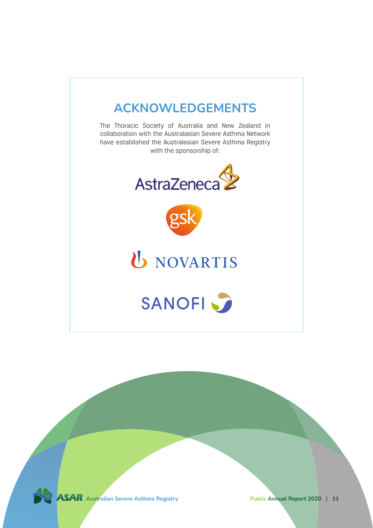

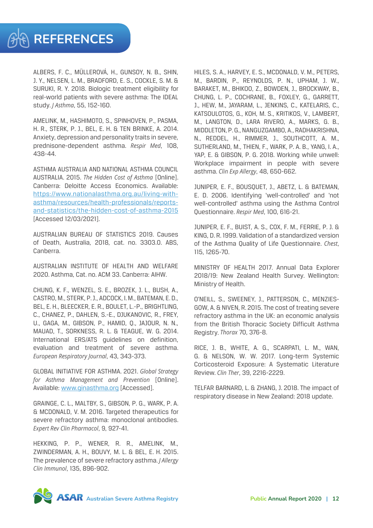ALBERS, F. C., MÜLLEROVÁ, H., GUNSOY, N. B., SHIN, J. Y., NELSEN, L. M., BRADFORD, E. S., COCKLE, S. M. & SURUKI, R. Y. 2018. Biologic treatment eligibility for real-world patients with severe asthma: The IDEAL study. *J Asthma*, 55, 152-160.

AMELINK, M., HASHIMOTO, S., SPINHOVEN, P., PASMA, H. R., STERK, P. J., BEL, E. H. & TEN BRINKE, A. 2014. Anxiety, depression and personality traits in severe, prednisone-dependent asthma. *Respir Med*, 108, 438-44.

ASTHMA AUSTRALIA AND NATIONAL ASTHMA COUNCIL AUSTRALIA. 2015. *The Hidden Cost of Asthma* [Online]. Canberra: Deloitte Access Economics. Available: [https://www.nationalasthma.org.au/living-with](https://www.nationalasthma.org.au/living-with-asthma/resources/health-professionals/reports-and-statistics/the-hidden-cost-of-asthma-2015)[asthma/resources/health-professionals/reports](https://www.nationalasthma.org.au/living-with-asthma/resources/health-professionals/reports-and-statistics/the-hidden-cost-of-asthma-2015)[and-statistics/the-hidden-cost-of-asthma-2015](https://www.nationalasthma.org.au/living-with-asthma/resources/health-professionals/reports-and-statistics/the-hidden-cost-of-asthma-2015) [Accessed 12/03/2021].

AUSTRALIAN BUREAU OF STATISTICS 2019. Causes of Death, Australia, 2018, cat. no. 3303.0. ABS, Canberra.

AUSTRALIAN INSTITUTE OF HEALTH AND WELFARE 2020. Asthma, Cat. no. ACM 33. Canberra: AIHW.

CHUNG, K. F., WENZEL, S. E., BROZEK, J. L., BUSH, A., CASTRO, M., STERK, P. J., ADCOCK, I. M., BATEMAN, E. D., BEL, E. H., BLEECKER, E. R., BOULET, L.-P., BRIGHTLING, C., CHANEZ, P., DAHLEN, S.-E., DJUKANOVIC, R., FREY, U., GAGA, M., GIBSON, P., HAMID, Q., JAJOUR, N. N., MAUAD, T., SORKNESS, R. L. & TEAGUE, W. G. 2014. International ERS/ATS guidelines on definition, evaluation and treatment of severe asthma. *European Respiratory Journal*, 43, 343-373.

GLOBAL INITIATIVE FOR ASTHMA. 2021. *Global Strategy for Asthma Management and Prevention* [Online]. Available: [www.ginasthma.org](http://www.ginasthma.org) [Accessed].

GRAINGE, C. L., MALTBY, S., GIBSON, P. G., WARK, P. A. & MCDONALD, V. M. 2016. Targeted therapeutics for severe refractory asthma: monoclonal antibodies. *Expert Rev Clin Pharmacol*, 9, 927-41.

HEKKING, P. P., WENER, R. R., AMELINK, M., ZWINDERMAN, A. H., BOUVY, M. L. & BEL, E. H. 2015. The prevalence of severe refractory asthma. *J Allergy Clin Immunol*, 135, 896-902.

HILES, S. A., HARVEY, E. S., MCDONALD, V. M., PETERS, M., BARDIN, P., REYNOLDS, P. N., UPHAM, J. W., BARAKET, M., BHIKOO, Z., BOWDEN, J., BROCKWAY, B., CHUNG, L. P., COCHRANE, B., FOXLEY, G., GARRETT, J., HEW, M., JAYARAM, L., JENKINS, C., KATELARIS, C., KATSOULOTOS, G., KOH, M. S., KRITIKOS, V., LAMBERT, M., LANGTON, D., LARA RIVERO, A., MARKS, G. B., MIDDLETON, P. G., NANGUZGAMBO, A., RADHAKRISHNA, N., REDDEL, H., RIMMER, J., SOUTHCOTT, A. M., SUTHERLAND, M., THIEN, F., WARK, P. A. B., YANG, I. A., YAP, E. & GIBSON, P. G. 2018. Working while unwell: Workplace impairment in people with severe asthma. *Clin Exp Allergy*, 48, 650-662.

JUNIPER, E. F., BOUSQUET, J., ABETZ, L. & BATEMAN, E. D. 2006. Identifying 'well-controlled' and 'not well-controlled' asthma using the Asthma Control Questionnaire. *Respir Med*, 100, 616-21.

JUNIPER, E. F., BUIST, A. S., COX, F. M., FERRIE, P. J. & KING, D. R. 1999. Validation of a standardized version of the Asthma Quality of Life Questionnaire. *Chest*, 115, 1265-70.

MINISTRY OF HEALTH 2017. Annual Data Explorer 2018/19: New Zealand Health Survey. Wellington: Ministry of Health.

O'NEILL, S., SWEENEY, J., PATTERSON, C., MENZIES-GOW, A. & NIVEN, R. 2015. The cost of treating severe refractory asthma in the UK: an economic analysis from the British Thoracic Society Difficult Asthma Registry. *Thorax* 70, 376-8.

RICE, J. B., WHITE, A. G., SCARPATI, L. M., WAN, G. & NELSON, W. W. 2017. Long-term Systemic Corticosteroid Exposure: A Systematic Literature Review. *Clin Ther*, 39, 2216-2229.

TELFAR BARNARD, L. & ZHANG, J. 2018. The impact of respiratory disease in New Zealand: 2018 update.